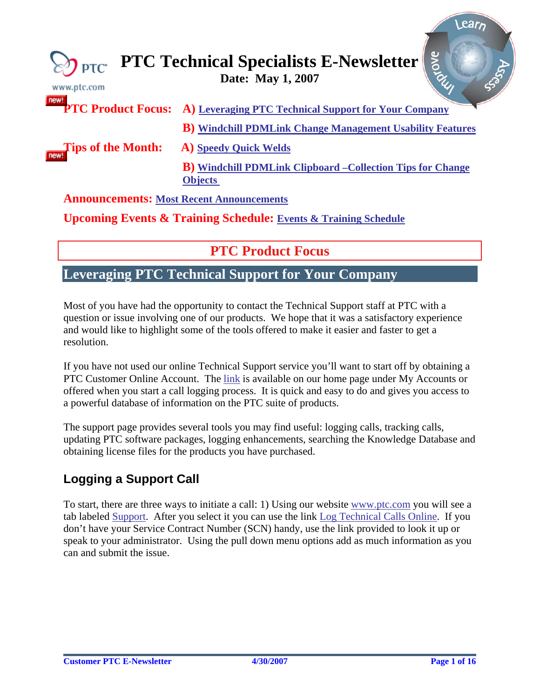<span id="page-0-0"></span>

| www.ptc.com                                     | prove<br>$\bigotimes_{\mathsf{PTC}}$ PTC Technical Specialists E-Newsletter           |
|-------------------------------------------------|---------------------------------------------------------------------------------------|
|                                                 | <b>PTC Product Focus:</b> A) Leveraging PTC Technical Support for Your Company        |
|                                                 | <b>B</b> ) Windchill PDMLink Change Management Usability Features                     |
| <b>Tips of the Month:</b>                       | <b>A) Speedy Quick Welds</b>                                                          |
|                                                 | <b>B</b> ) Windchill PDMLink Clipboard – Collection Tips for Change<br><b>Objects</b> |
| <b>Announcements: Most Recent Announcements</b> |                                                                                       |
|                                                 | <b>Upcoming Events &amp; Training Schedule: Events &amp; Training Schedule</b>        |

# **PTC Product Focus**

## **Leveraging PTC Technical Support for Your Company**

Most of you have had the opportunity to contact the Technical Support staff at PTC with a question or issue involving one of our products. We hope that it was a satisfactory experience and would like to highlight some of the tools offered to make it easier and faster to get a resolution.

If you have not used our online Technical Support service you'll want to start off by obtaining a PTC Customer Online Account. The [link](http://www.ptc.com/appserver/common/account/basic.jsp) is available on our home page under My Accounts or offered when you start a call logging process. It is quick and easy to do and gives you access to a powerful database of information on the PTC suite of products.

The support page provides several tools you may find useful: logging calls, tracking calls, updating PTC software packages, logging enhancements, searching the Knowledge Database and obtaining license files for the products you have purchased.

## **Logging a Support Call**

To start, there are three ways to initiate a call: 1) Using our website [www.ptc.com](http://www.ptc.com/) you will see a tab labeled [Support](http://www.ptc.com/support/index.htm). After you select it you can use the link [Log Technical Calls Online.](https://www.ptc.com/appserver/cs/call_logger/call_logger.jsp) If you don't have your Service Contract Number (SCN) handy, use the link provided to look it up or speak to your administrator. Using the pull down menu options add as much information as you can and submit the issue.

l ear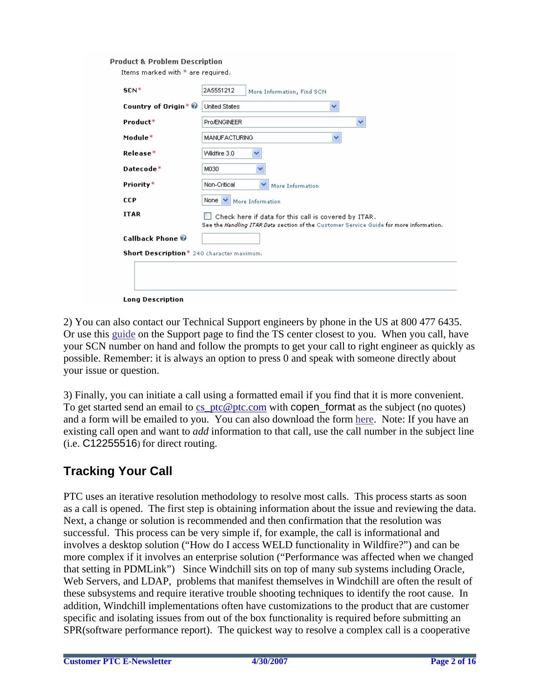| <b>Product &amp; Problem Description</b><br>Items marked with * are required. |                                                                                                                                                |  |  |
|-------------------------------------------------------------------------------|------------------------------------------------------------------------------------------------------------------------------------------------|--|--|
| $SCN*$                                                                        | 2A5551212<br>More Information, Find SCN                                                                                                        |  |  |
| Country of Origin* @                                                          | <b>United States</b><br>v                                                                                                                      |  |  |
| Product*                                                                      | <b>Pro/ENGINEER</b><br>×                                                                                                                       |  |  |
| Module*                                                                       | <b>MANUFACTURING</b><br>v                                                                                                                      |  |  |
| Release*                                                                      | Wildfire 3.0<br>٧                                                                                                                              |  |  |
| Datecode*                                                                     | M030                                                                                                                                           |  |  |
| Priority*                                                                     | Non-Critical<br>More Information                                                                                                               |  |  |
| <b>CCP</b>                                                                    | None  <br>More Information                                                                                                                     |  |  |
| <b>ITAR</b>                                                                   | Check here if data for this call is covered by ITAR.<br>See the Handling ITAR Data section of the Customer Service Guide for more information. |  |  |
| <b>Callback Phone @</b>                                                       |                                                                                                                                                |  |  |
| Short Description* 240 character maximum.                                     |                                                                                                                                                |  |  |
|                                                                               |                                                                                                                                                |  |  |
|                                                                               |                                                                                                                                                |  |  |
| <b>Long Description</b>                                                       |                                                                                                                                                |  |  |

2) You can also contact our Technical Support engineers by phone in the US at 800 477 6435. Or use this guide on the Support page to find the TS center closest to you. When you call, have your SCN number on hand and follow the prompts to get your call to right engineer as quickly as possible. Remember: it is always an option to press 0 and speak with someone directly about your issue or question.

3) Finally, you can initiate a call using a formatted email if you find that it is more convenient. To get started send an email to [cs\\_ptc@ptc.com](mailto:cs_ptc@ptc.com) with copen\_format as the subject (no quotes) and a form will be emailed to you. You can also download the form [here.](http://www.ptc.com/cs/doc/copen.htm) Note: If you have an existing call open and want to *add* information to that call, use the call number in the subject line (i.e. C12255516) for direct routing.

# **Tracking Your Call**

PTC uses an iterative resolution methodology to resolve most calls. This process starts as soon as a call is opened. The first step is obtaining information about the issue and reviewing the data. Next, a change or solution is recommended and then confirmation that the resolution was successful. This process can be very simple if, for example, the call is informational and involves a desktop solution ("How do I access WELD functionality in Wildfire?") and can be more complex if it involves an enterprise solution ("Performance was affected when we changed that setting in PDMLink") Since Windchill sits on top of many sub systems including Oracle, Web Servers, and LDAP, problems that manifest themselves in Windchill are often the result of these subsystems and require iterative trouble shooting techniques to identify the root cause. In addition, Windchill implementations often have customizations to the product that are customer specific and isolating issues from out of the box functionality is required before submitting an SPR(software performance report). The quickest way to resolve a complex call is a cooperative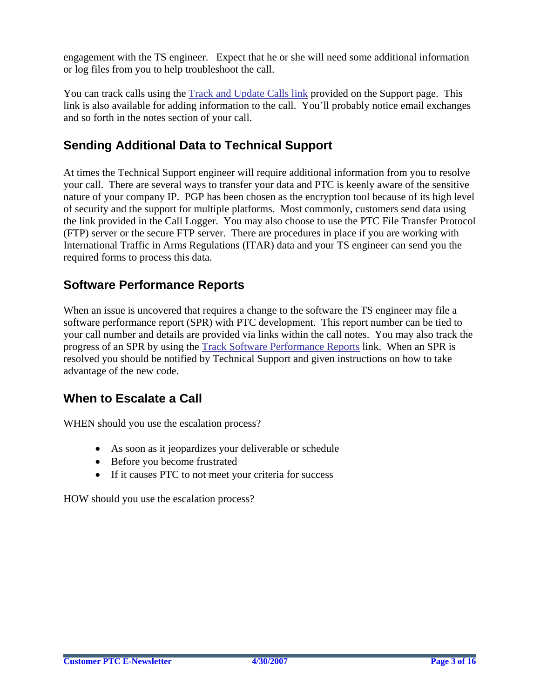engagement with the TS engineer. Expect that he or she will need some additional information or log files from you to help troubleshoot the call.

You can track calls using the [Track and Update Calls link](http://www.ptc.com/support/index.htm) provided on the Support page. This link is also available for adding information to the call. You'll probably notice email exchanges and so forth in the notes section of your call.

### **Sending Additional Data to Technical Support**

At times the Technical Support engineer will require additional information from you to resolve your call. There are several ways to transfer your data and PTC is keenly aware of the sensitive nature of your company IP. PGP has been chosen as the encryption tool because of its high level of security and the support for multiple platforms. Most commonly, customers send data using the link provided in the Call Logger. You may also choose to use the PTC File Transfer Protocol (FTP) server or the secure FTP server. There are procedures in place if you are working with International Traffic in Arms Regulations (ITAR) data and your TS engineer can send you the required forms to process this data.

### **Software Performance Reports**

When an issue is uncovered that requires a change to the software the TS engineer may file a software performance report (SPR) with PTC development. This report number can be tied to your call number and details are provided via links within the call notes. You may also track the progress of an SPR by using the [Track Software Performance Reports](http://www.ptc.com/cgi/cs/apps/spr_tracker/spr_tracker.pl?wcn=341&ret_url=http://www.ptc.com/cgi/cs/apps/spr_tracker/spr_tracker.pl&lang=en&app_id=5&session_id=27bc18236eefcbf75fd43d99470678a1&) link. When an SPR is resolved you should be notified by Technical Support and given instructions on how to take advantage of the new code.

### **When to Escalate a Call**

WHEN should you use the escalation process?

- As soon as it jeopardizes your deliverable or schedule
- Before you become frustrated
- If it causes PTC to not meet your criteria for success

HOW should you use the escalation process?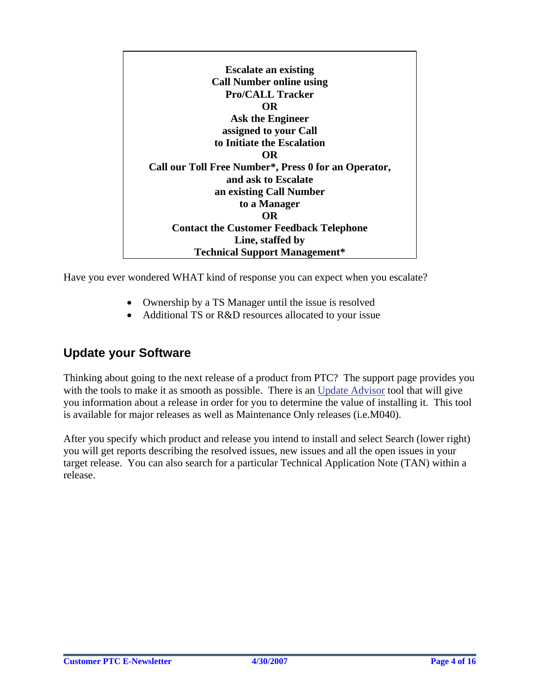**Escalate an existing Call Number online using Pro/CALL Tracker OR Ask the Engineer assigned to your Call to Initiate the Escalation OR Call our Toll Free Number\*, Press 0 for an Operator, and ask to Escalate an existing Call Number to a Manager OR Contact the Customer Feedback Telephone Line, staffed by Technical Support Management\***

Have you ever wondered WHAT kind of response you can expect when you escalate?

- Ownership by a TS Manager until the issue is resolved
- Additional TS or R&D resources allocated to your issue

## **Update your Software**

Thinking about going to the next release of a product from PTC? The support page provides you with the tools to make it as smooth as possible. There is an [Update Advisor](http://www.ptc.com/appserver/cs/update_advisor/UpdateAdvisorSearchCriteria.jsp) tool that will give you information about a release in order for you to determine the value of installing it. This tool is available for major releases as well as Maintenance Only releases (i.e.M040).

After you specify which product and release you intend to install and select Search (lower right) you will get reports describing the resolved issues, new issues and all the open issues in your target release. You can also search for a particular Technical Application Note (TAN) within a release.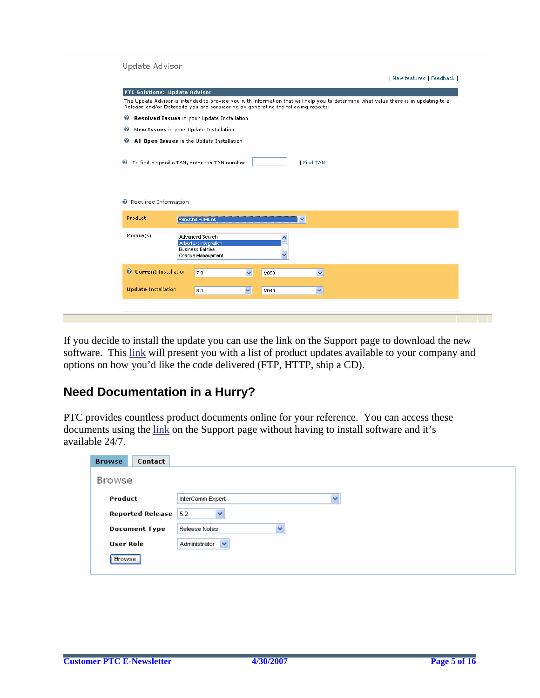|                                                     | New features   Feedback                                                                                                                                                                                                                                         |
|-----------------------------------------------------|-----------------------------------------------------------------------------------------------------------------------------------------------------------------------------------------------------------------------------------------------------------------|
|                                                     | <b>PTC Solutions: Update Advisor</b><br>The Update Advisor is intended to provide you with information that will help you to determine what value there is in updating to a<br>Release and/or Datecode you are considering by generating the following reports: |
| ℯ                                                   | Resolved Issues in your Update Installation                                                                                                                                                                                                                     |
| ℯ                                                   | New Issues in your Update Installation                                                                                                                                                                                                                          |
| ℯ                                                   | All Open Issues in the Update Installation                                                                                                                                                                                                                      |
|                                                     | To find a specific TAN, enter the TAN number<br>  Find TAN                                                                                                                                                                                                      |
|                                                     |                                                                                                                                                                                                                                                                 |
| Product                                             | Windchill PDMLink<br>$\checkmark$                                                                                                                                                                                                                               |
| ℯ<br><sup>2</sup> Required Information<br>Module(s) | Advanced Search<br>Arbortext Integration<br><b>Business Entities</b><br>Change Management<br>v                                                                                                                                                                  |
| Current Installation                                | $\checkmark$<br>$\checkmark$<br>7.0<br>M050                                                                                                                                                                                                                     |

If you decide to install the update you can use the link on the Support page to download the new software. This [link](http://www.ptc.com/cgi/cs/apps/SftUpd/SftUpdProd.pl) will present you with a list of product updates available to your company and options on how you'd like the code delivered (FTP, HTTP, ship a CD).

## **Need Documentation in a Hurry?**

PTC provides countless product documents online for your reference. You can access these documents using the [link](http://www.ptc.com/appserver/cs/doc/refdoc.jsp) on the Support page without having to install software and it's available 24/7.

| <b>Browse</b> | Contact              |                               |
|---------------|----------------------|-------------------------------|
| Browse        |                      |                               |
| Product       |                      | InterComm Expert<br>v         |
|               | Reported Release 5.2 | v                             |
|               | <b>Document Type</b> | $\checkmark$<br>Release Notes |
| User Role     |                      | Administrator V               |
| Browse        |                      |                               |
|               |                      |                               |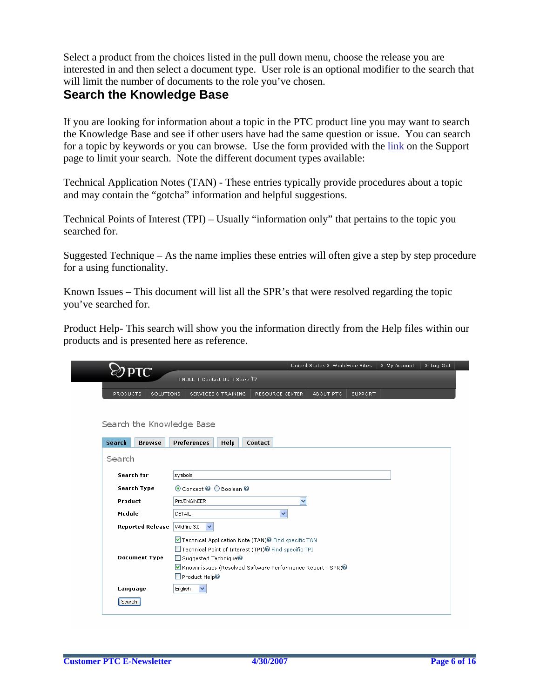Select a product from the choices listed in the pull down menu, choose the release you are interested in and then select a document type. User role is an optional modifier to the search that will limit the number of documents to the role you've chosen.

### **Search the Knowledge Base**

If you are looking for information about a topic in the PTC product line you may want to search the Knowledge Base and see if other users have had the same question or issue. You can search for a topic by keywords or you can browse. Use the form provided with the [link](http://www.ptc.com/appserver/cs/search/search.jsp) on the Support page to limit your search. Note the different document types available:

Technical Application Notes (TAN) - These entries typically provide procedures about a topic and may contain the "gotcha" information and helpful suggestions.

Technical Points of Interest (TPI) – Usually "information only" that pertains to the topic you searched for.

Suggested Technique – As the name implies these entries will often give a step by step procedure for a using functionality.

Known Issues – This document will list all the SPR's that were resolved regarding the topic you've searched for.

Product Help- This search will show you the information directly from the Help files within our products and is presented here as reference.

| PTC <sup>.</sup>               | United States > Worldwide Sites<br>> Log Out<br>> My Account                     |  |  |  |
|--------------------------------|----------------------------------------------------------------------------------|--|--|--|
|                                | I NULL I Contact Us I Store F                                                    |  |  |  |
|                                |                                                                                  |  |  |  |
| <b>PRODUCTS</b><br>SOLUTIONS   | <b>SERVICES &amp; TRAINING</b><br><b>RESOURCE CENTER</b><br>SUPPORT<br>ABOUT PTC |  |  |  |
|                                |                                                                                  |  |  |  |
| Search the Knowledge Base      |                                                                                  |  |  |  |
|                                |                                                                                  |  |  |  |
| <b>Search</b><br><b>Browse</b> | <b>Preferences</b><br><b>Help</b><br>Contact                                     |  |  |  |
|                                |                                                                                  |  |  |  |
| Search                         |                                                                                  |  |  |  |
| <b>Search for</b>              | symbols                                                                          |  |  |  |
| Search Type                    | Concept © C Boolean ©                                                            |  |  |  |
| Product                        | $\overline{\mathbf{v}}$<br><b>Pro/ENGINEER</b>                                   |  |  |  |
|                                |                                                                                  |  |  |  |
| Module                         | DETAIL<br>$\checkmark$                                                           |  |  |  |
| <b>Reported Release</b>        | Wildfire 3.0<br>$\checkmark$                                                     |  |  |  |
|                                | Technical Application Note (TAN) <sup>O</sup> Find specific TAN                  |  |  |  |
|                                | $\Box$ Technical Point of Interest (TPI) $\Theta$ Find specific TPI              |  |  |  |
| <b>Document Type</b>           | $\Box$ Suggested Technique $\mathcal O$                                          |  |  |  |
|                                | Known issues (Resolved Software Performance Report - SPR) <sup>0</sup>           |  |  |  |
|                                | $\Box$ Product Help $\odot$                                                      |  |  |  |
| Language                       | $\checkmark$<br>English                                                          |  |  |  |
| Search                         |                                                                                  |  |  |  |
|                                |                                                                                  |  |  |  |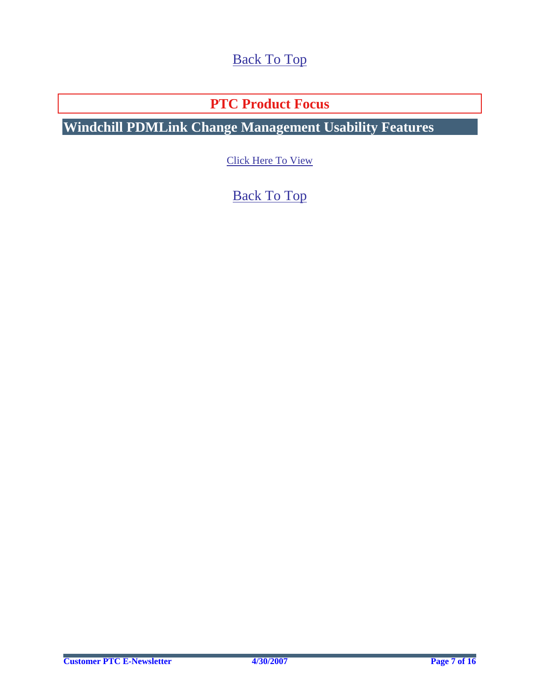[Back To Top](#page-0-0)

# **PTC Product Focus**

<span id="page-6-0"></span>**Windchill PDMLink Change Management Usability Features** 

[Click Here To View](http://members.shaw.ca/jpeng/newsletter/PTC_Technical_Specialists_E-Newsletter_05-01-2007_enterprise.pdf)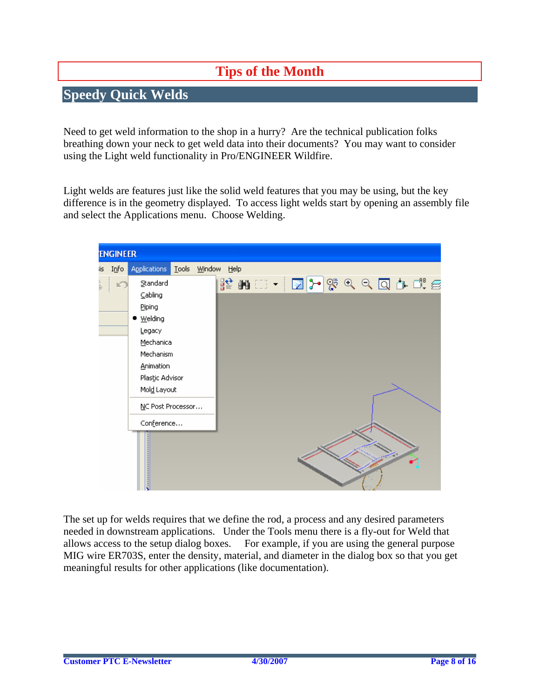# **Tips of the Month**

## <span id="page-7-0"></span>**Speedy Quick Welds**

Need to get weld information to the shop in a hurry? Are the technical publication folks breathing down your neck to get weld data into their documents? You may want to consider using the Light weld functionality in Pro/ENGINEER Wildfire.

Light welds are features just like the solid weld features that you may be using, but the key difference is in the geometry displayed. To access light welds start by opening an assembly file and select the Applications menu. Choose Welding.



The set up for welds requires that we define the rod, a process and any desired parameters needed in downstream applications. Under the Tools menu there is a fly-out for Weld that allows access to the setup dialog boxes. For example, if you are using the general purpose MIG wire ER703S, enter the density, material, and diameter in the dialog box so that you get meaningful results for other applications (like documentation).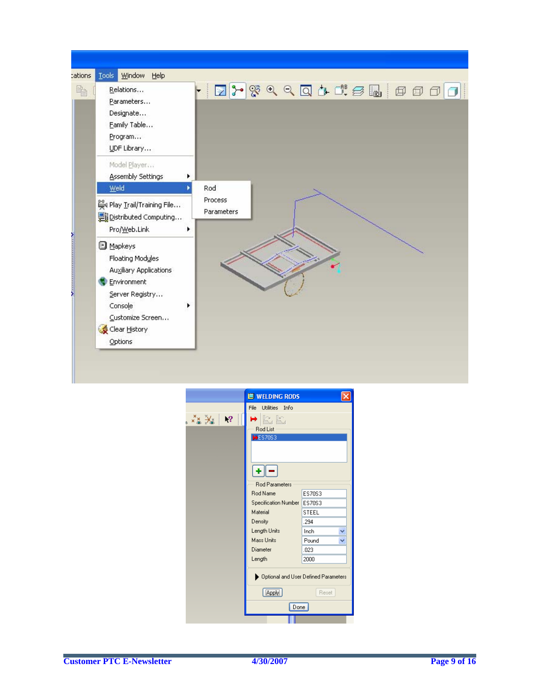

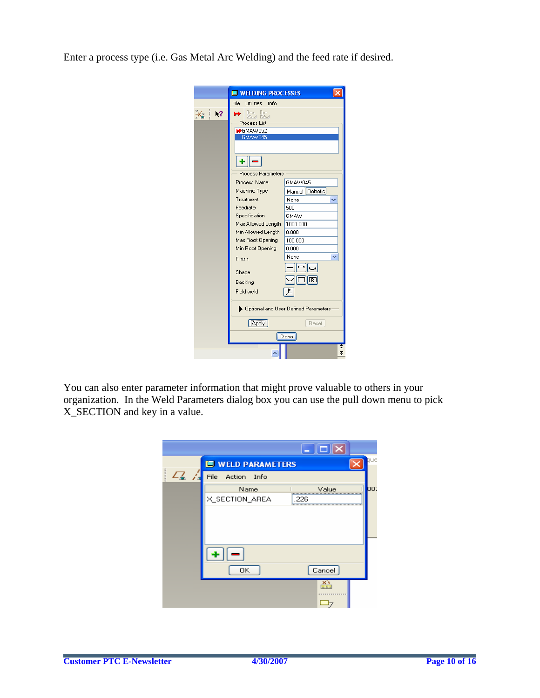Enter a process type (i.e. Gas Metal Arc Welding) and the feed rate if desired.

|                                           | <b>WELDING PROCESSES</b>         |                                             |  |
|-------------------------------------------|----------------------------------|---------------------------------------------|--|
|                                           | File<br><b>Utilities</b><br>Info |                                             |  |
| $\frac{1}{2}$ $\frac{1}{2}$ $\frac{1}{2}$ | <b>They</b><br>llor i            |                                             |  |
|                                           | Process List                     |                                             |  |
|                                           | <b>B</b> GMAW052                 |                                             |  |
|                                           | GMAW045                          |                                             |  |
|                                           |                                  |                                             |  |
|                                           |                                  |                                             |  |
|                                           |                                  |                                             |  |
|                                           | Process Parameters               |                                             |  |
|                                           | Process Name                     | GMAW045                                     |  |
|                                           | Machine Type                     | Manual Robotic                              |  |
|                                           | Treatment                        | None                                        |  |
|                                           | Feedrate                         | 500                                         |  |
|                                           | Specification                    | <b>GMAW</b>                                 |  |
|                                           | Max Allowed Length               | 1000.000                                    |  |
|                                           | Min Allowed Length               | 0.000                                       |  |
|                                           | Max Root Opening                 | 100,000                                     |  |
|                                           | Min Root Opening                 | 0.000                                       |  |
|                                           | Finish                           | None                                        |  |
|                                           |                                  |                                             |  |
|                                           | Shape                            |                                             |  |
|                                           | Backing                          |                                             |  |
|                                           | Field weld                       |                                             |  |
|                                           |                                  | <b>Dptional and User Defined Parameters</b> |  |
|                                           | <b>Apply</b>                     | Reset                                       |  |
|                                           |                                  | Done                                        |  |
|                                           |                                  | ¥                                           |  |

You can also enter parameter information that might prove valuable to others in your organization. In the Weld Parameters dialog box you can use the pull down menu to pick X\_SECTION and key in a value.

|                            |                        | $\Box$ $\Box$ $\times$            |
|----------------------------|------------------------|-----------------------------------|
|                            | <b>WELD PARAMETERS</b> | que                               |
| $\mathcal{L}_{\bullet}$ /s | File<br>Action Info    |                                   |
|                            | Name                   | po:<br>Value                      |
|                            | X_SECTION_AREA         | .226                              |
|                            |                        |                                   |
|                            | 0K                     | Cancel                            |
|                            |                        | $\frac{\mathbf{x}}{\sinh \theta}$ |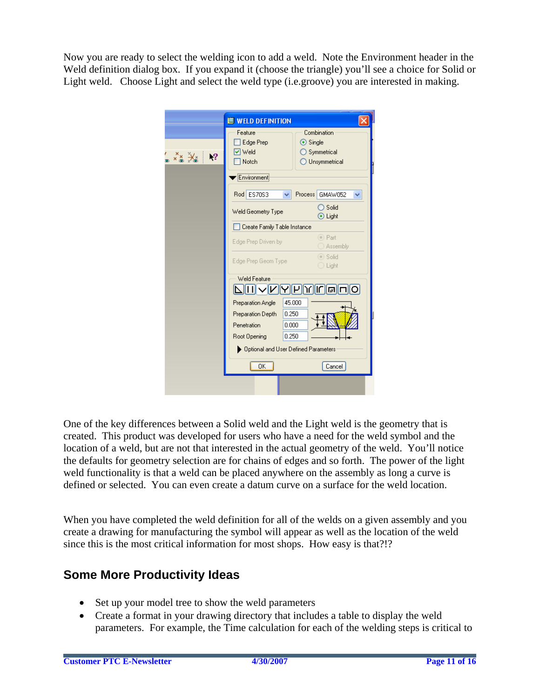Now you are ready to select the welding icon to add a weld. Note the Environment header in the Weld definition dialog box. If you expand it (choose the triangle) you'll see a choice for Solid or Light weld. Choose Light and select the weld type (i.e.groove) you are interested in making.

|                                                                                                           | <b>19 WELD DEFINITION</b>               |                                                               |  |  |  |
|-----------------------------------------------------------------------------------------------------------|-----------------------------------------|---------------------------------------------------------------|--|--|--|
| $\frac{1}{2}$ $\times$ $\frac{1}{2}$ $\times$ $\frac{1}{2}$ $\times$ $\frac{1}{2}$ $\times$ $\frac{1}{2}$ | Feature<br>Edge Prep<br>V Weld<br>Notch | Combination<br>$\odot$ Single<br>Symmetrical<br>Unsymmetrical |  |  |  |
|                                                                                                           | Environment                             |                                                               |  |  |  |
|                                                                                                           | Rod ES70S3                              | Process   GMAW052                                             |  |  |  |
|                                                                                                           | Weld Geometry Type                      | Solid<br>⊙ Light                                              |  |  |  |
|                                                                                                           | Create Family Table Instance            |                                                               |  |  |  |
|                                                                                                           | Edge Prep Driven by                     | (a) Part<br>○ Assembly                                        |  |  |  |
|                                                                                                           | Edge Prep Geom Type                     | ⊙ Solid<br>$\bigcirc$ Light                                   |  |  |  |
|                                                                                                           | Weld Feature                            | <b>NHVPPMMado</b>                                             |  |  |  |
|                                                                                                           | Preparation Angle                       | 45.000                                                        |  |  |  |
|                                                                                                           | 0.250<br>Preparation Depth              |                                                               |  |  |  |
|                                                                                                           | Penetration<br>0.000                    |                                                               |  |  |  |
|                                                                                                           | 0.250<br>Root Opening                   |                                                               |  |  |  |
|                                                                                                           | Optional and User Defined Parameters    |                                                               |  |  |  |
|                                                                                                           | 0K                                      | Cancel                                                        |  |  |  |
|                                                                                                           |                                         |                                                               |  |  |  |

One of the key differences between a Solid weld and the Light weld is the geometry that is created. This product was developed for users who have a need for the weld symbol and the location of a weld, but are not that interested in the actual geometry of the weld. You'll notice the defaults for geometry selection are for chains of edges and so forth. The power of the light weld functionality is that a weld can be placed anywhere on the assembly as long a curve is defined or selected. You can even create a datum curve on a surface for the weld location.

When you have completed the weld definition for all of the welds on a given assembly and you create a drawing for manufacturing the symbol will appear as well as the location of the weld since this is the most critical information for most shops. How easy is that?!?

### **Some More Productivity Ideas**

- Set up your model tree to show the weld parameters
- Create a format in your drawing directory that includes a table to display the weld parameters. For example, the Time calculation for each of the welding steps is critical to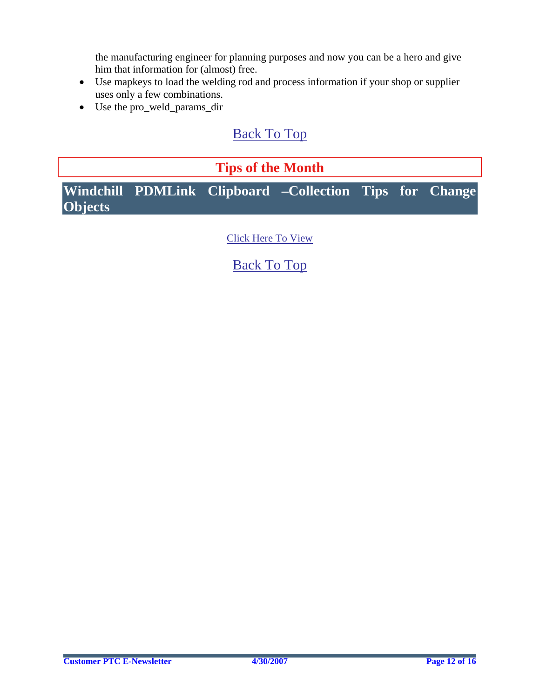<span id="page-11-0"></span>the manufacturing engineer for planning purposes and now you can be a hero and give him that information for (almost) free.

- Use mapkeys to load the welding rod and process information if your shop or supplier uses only a few combinations.
- Use the pro\_weld\_params\_dir

# [Back To Top](#page-0-0)

| <b>Tips of the Month</b> |  |  |                                                          |  |  |  |
|--------------------------|--|--|----------------------------------------------------------|--|--|--|
| <b>Objects</b>           |  |  | Windchill PDMLink Clipboard – Collection Tips for Change |  |  |  |

[Click Here To View](http://members.shaw.ca/jpeng/newsletter/PTC_Technical_Specialists_E-Newsletter_05-01-2007_enterprise.pdf)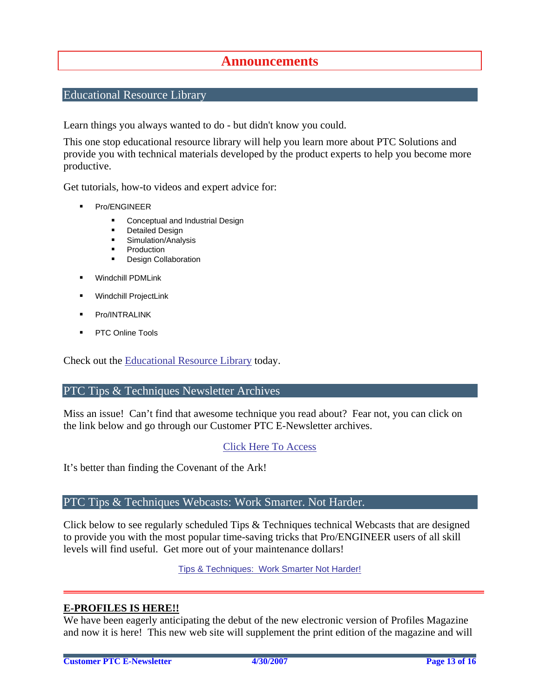### **Announcements**

### <span id="page-12-0"></span>Educational Resource Library

Learn things you always wanted to do - but didn't know you could.

This one stop educational resource library will help you learn more about PTC Solutions and provide you with technical materials developed by the product experts to help you become more productive.

Get tutorials, how-to videos and expert advice for:

- **Pro/ENGINEER** 
	- **EXECONCEPT** Conceptual and Industrial Design
	- **•** Detailed Design
	- **Simulation/Analysis**
	- Production
	- **Design Collaboration**
- Windchill PDMLink
- Windchill ProjectLink
- Pro/INTRALINK
- PTC Online Tools

Check out the [Educational Resource Library](http://www.ptc.com/community/proewf/newtools/tutorials.htm) today.

#### PTC Tips & Techniques Newsletter Archives

Miss an issue! Can't find that awesome technique you read about? Fear not, you can click on the link below and go through our Customer PTC E-Newsletter archives.

#### [Click Here To Access](http://www.ptc.com/carezone/archive/index.htm)

It's better than finding the Covenant of the Ark!

### PTC Tips & Techniques Webcasts: Work Smarter. Not Harder.

Click below to see regularly scheduled Tips & Techniques technical Webcasts that are designed to provide you with the most popular time-saving tricks that Pro/ENGINEER users of all skill levels will find useful. Get more out of your maintenance dollars!

Tips & Techniques: Work Smarter Not Harder!

### **E-PROFILES IS HERE!!**

We have been eagerly anticipating the debut of the new electronic version of Profiles Magazine and now it is here! This new web site will supplement the print edition of the magazine and will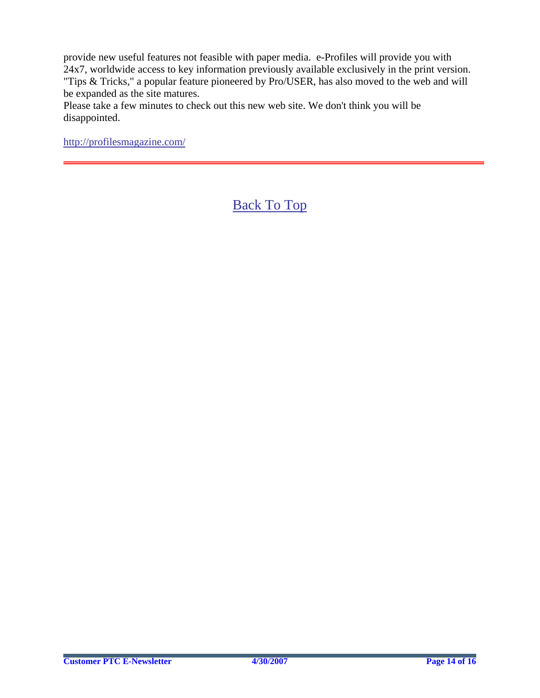provide new useful features not feasible with paper media. e-Profiles will provide you with 24x7, worldwide access to key information previously available exclusively in the print version. "Tips & Tricks," a popular feature pioneered by Pro/USER, has also moved to the web and will be expanded as the site matures.

Please take a few minutes to check out this new web site. We don't think you will be disappointed.

<http://profilesmagazine.com/>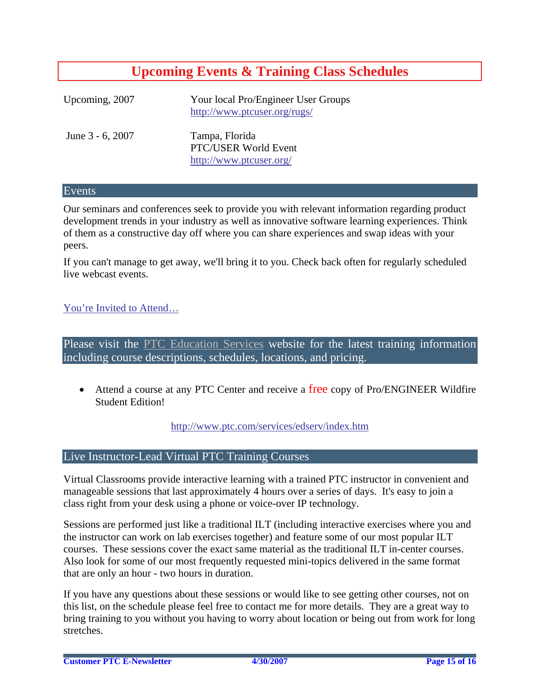# **Upcoming Events & Training Class Schedules**

<span id="page-14-0"></span>

| Upcoming, 2007   | Your local Pro/Engineer User Groups<br>http://www.ptcuser.org/rugs/ |
|------------------|---------------------------------------------------------------------|
| June 3 - 6, 2007 | Tampa, Florida<br>PTC/USER World Event<br>http://www.ptcuser.org/   |

#### Events

Our seminars and conferences seek to provide you with relevant information regarding product development trends in your industry as well as innovative software learning experiences. Think of them as a constructive day off where you can share experiences and swap ideas with your peers.

If you can't manage to get away, we'll bring it to you. Check back often for regularly scheduled live webcast events.

### [You're Invited to Attend…](http://www.ptc.com/company/news/events/index.htm)

Please visit the [PTC Education Services](http://www.ptc.com/services/edserv/) website for the latest training information including course descriptions, schedules, locations, and pricing.

• Attend a course at any PTC Center and receive a free copy of Pro/ENGINEER Wildfire Student Edition!

<http://www.ptc.com/services/edserv/index.htm>

### Live Instructor-Lead Virtual PTC Training Courses

Virtual Classrooms provide interactive learning with a trained PTC instructor in convenient and manageable sessions that last approximately 4 hours over a series of days. It's easy to join a class right from your desk using a phone or voice-over IP technology.

Sessions are performed just like a traditional ILT (including interactive exercises where you and the instructor can work on lab exercises together) and feature some of our most popular ILT courses. These sessions cover the exact same material as the traditional ILT in-center courses. Also look for some of our most frequently requested mini-topics delivered in the same format that are only an hour - two hours in duration.

If you have any questions about these sessions or would like to see getting other courses, not on this list, on the schedule please feel free to contact me for more details. They are a great way to bring training to you without you having to worry about location or being out from work for long stretches.